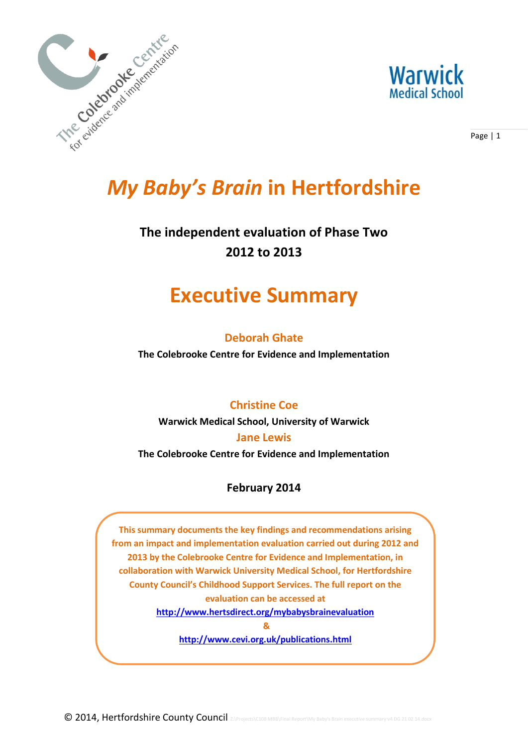



Page | 1

# *My Baby's Brain* **in Hertfordshire**

# **The independent evaluation of Phase Two 2012 to 2013**

# **Executive Summary**

### **Deborah Ghate**

**The Colebrooke Centre for Evidence and Implementation**

### **Christine Coe**

**Warwick Medical School, University of Warwick**

### **Jane Lewis**

**The Colebrooke Centre for Evidence and Implementation**

### **February 2014**

**This summary documents the key findings and recommendations arising from an impact and implementation evaluation carried out during 2012 and 2013 by the Colebrooke Centre for Evidence and Implementation, in collaboration with Warwick University Medical School, for Hertfordshire County Council's Childhood Support Services. The full report on the evaluation can be accessed at** 

**<http://www.hertsdirect.org/mybabysbrainevaluation>**

**&**

**<http://www.cevi.org.uk/publications.html>**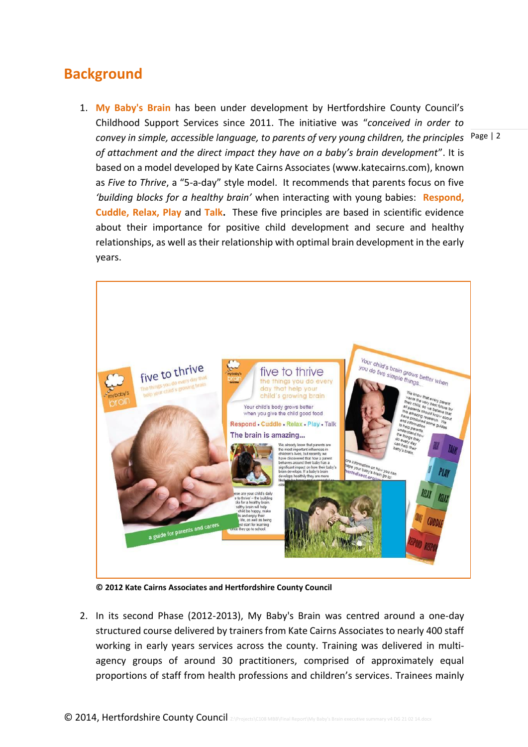## **Background**

convey in simple, accessible language, to parents of very young children, the principles <sup>Page</sup> <sup>| 2</sup> 1. **My Baby's Brain** has been under development by Hertfordshire County Council's Childhood Support Services since 2011. The initiative was "*conceived in order to of attachment and the direct impact they have on a baby's brain development*". It is based on a model developed by Kate Cairns Associates (www.katecairns.com), known as *Five to Thrive*, a "5-a-day" style model. It recommends that parents focus on five *'building blocks for a healthy brain'* when interacting with young babies: **Respond, Cuddle, Relax, Play** and **Talk.** These five principles are based in scientific evidence about their importance for positive child development and secure and healthy relationships, as well as their relationship with optimal brain development in the early years.



**© 2012 Kate Cairns Associates and Hertfordshire County Council** 

2. In its second Phase (2012-2013), My Baby's Brain was centred around a one-day structured course delivered by trainers from Kate Cairns Associates to nearly 400 staff working in early years services across the county. Training was delivered in multiagency groups of around 30 practitioners, comprised of approximately equal proportions of staff from health professions and children's services. Trainees mainly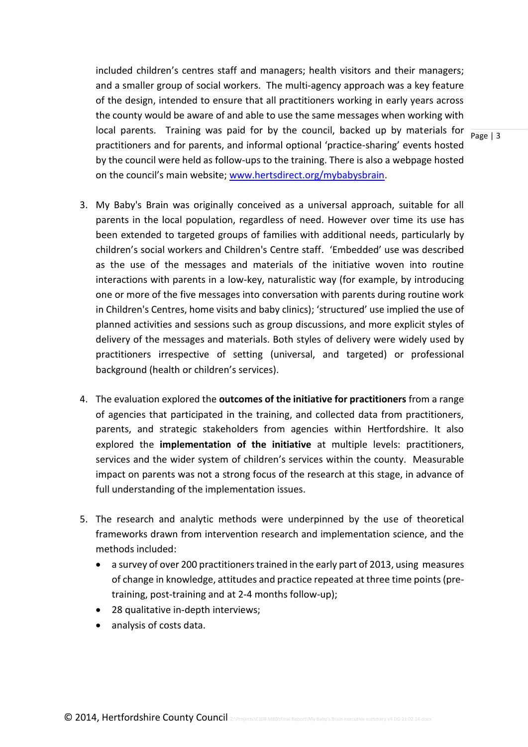local parents. Training was paid for by the council, backed up by materials for  $\frac{}{Page \mid 3}$ included children's centres staff and managers; health visitors and their managers; and a smaller group of social workers. The multi-agency approach was a key feature of the design, intended to ensure that all practitioners working in early years across the county would be aware of and able to use the same messages when working with practitioners and for parents, and informal optional 'practice-sharing' events hosted by the council were held as follow-ups to the training. There is also a webpage hosted on the council's main website; [www.hertsdirect.org/mybabysbrain.](http://www.hertsdirect.org/mybabysbrain)

- 3. My Baby's Brain was originally conceived as a universal approach, suitable for all parents in the local population, regardless of need. However over time its use has been extended to targeted groups of families with additional needs, particularly by children's social workers and Children's Centre staff. 'Embedded' use was described as the use of the messages and materials of the initiative woven into routine interactions with parents in a low-key, naturalistic way (for example, by introducing one or more of the five messages into conversation with parents during routine work in Children's Centres, home visits and baby clinics); 'structured' use implied the use of planned activities and sessions such as group discussions, and more explicit styles of delivery of the messages and materials. Both styles of delivery were widely used by practitioners irrespective of setting (universal, and targeted) or professional background (health or children's services).
- 4. The evaluation explored the **outcomes of the initiative for practitioners** from a range of agencies that participated in the training, and collected data from practitioners, parents, and strategic stakeholders from agencies within Hertfordshire. It also explored the **implementation of the initiative** at multiple levels: practitioners, services and the wider system of children's services within the county. Measurable impact on parents was not a strong focus of the research at this stage, in advance of full understanding of the implementation issues.
- 5. The research and analytic methods were underpinned by the use of theoretical frameworks drawn from intervention research and implementation science, and the methods included:
	- a survey of over 200 practitioners trained in the early part of 2013, using measures of change in knowledge, attitudes and practice repeated at three time points (pretraining, post-training and at 2-4 months follow-up);
	- 28 qualitative in-depth interviews;
	- analysis of costs data.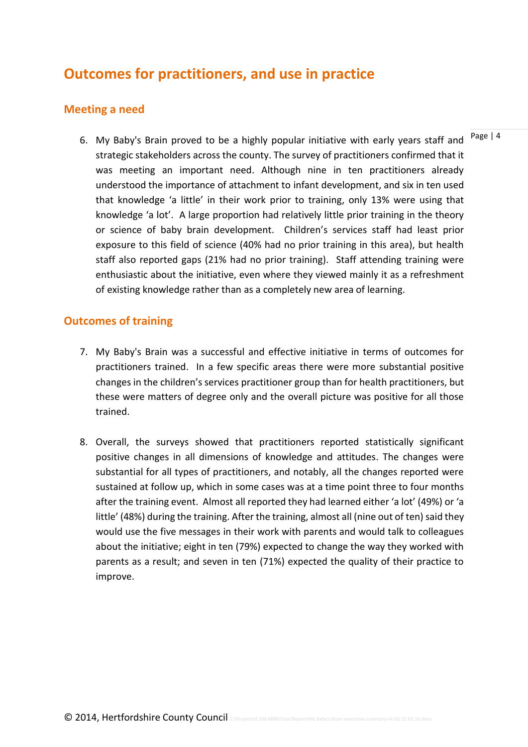# **Outcomes for practitioners, and use in practice**

#### **Meeting a need**

6. My Baby's Brain proved to be a highly popular initiative with early years staff and strategic stakeholders across the county. The survey of practitioners confirmed that it was meeting an important need. Although nine in ten practitioners already understood the importance of attachment to infant development, and six in ten used that knowledge 'a little' in their work prior to training, only 13% were using that knowledge 'a lot'. A large proportion had relatively little prior training in the theory or science of baby brain development. Children's services staff had least prior exposure to this field of science (40% had no prior training in this area), but health staff also reported gaps (21% had no prior training). Staff attending training were enthusiastic about the initiative, even where they viewed mainly it as a refreshment of existing knowledge rather than as a completely new area of learning.

#### **Outcomes of training**

- 7. My Baby's Brain was a successful and effective initiative in terms of outcomes for practitioners trained. In a few specific areas there were more substantial positive changes in the children's services practitioner group than for health practitioners, but these were matters of degree only and the overall picture was positive for all those trained.
- 8. Overall, the surveys showed that practitioners reported statistically significant positive changes in all dimensions of knowledge and attitudes. The changes were substantial for all types of practitioners, and notably, all the changes reported were sustained at follow up, which in some cases was at a time point three to four months after the training event. Almost all reported they had learned either 'a lot' (49%) or 'a little' (48%) during the training. After the training, almost all (nine out of ten) said they would use the five messages in their work with parents and would talk to colleagues about the initiative; eight in ten (79%) expected to change the way they worked with parents as a result; and seven in ten (71%) expected the quality of their practice to improve.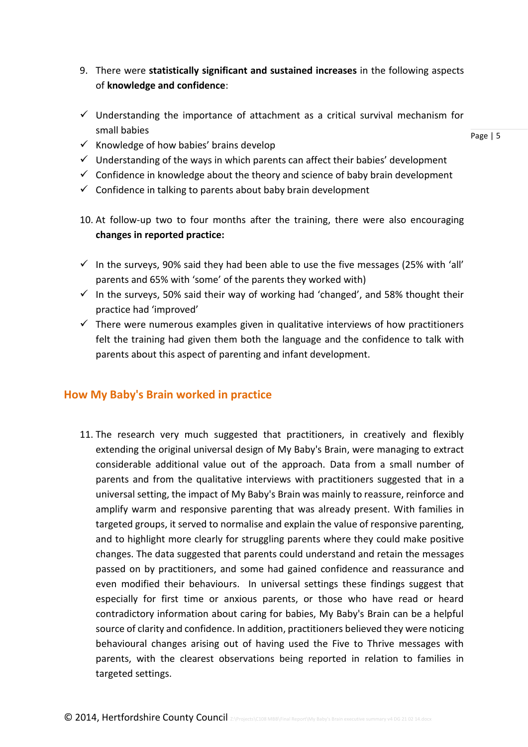- 9. There were **statistically significant and sustained increases** in the following aspects of **knowledge and confidence**:
- $\checkmark$  Understanding the importance of attachment as a critical survival mechanism for small babies

Page | 5

- $\checkmark$  Knowledge of how babies' brains develop
- $\checkmark$  Understanding of the ways in which parents can affect their babies' development
- $\checkmark$  Confidence in knowledge about the theory and science of baby brain development
- $\checkmark$  Confidence in talking to parents about baby brain development
- 10. At follow-up two to four months after the training, there were also encouraging **changes in reported practice:**
- $\checkmark$  In the surveys, 90% said they had been able to use the five messages (25% with 'all' parents and 65% with 'some' of the parents they worked with)
- $\checkmark$  In the surveys, 50% said their way of working had 'changed', and 58% thought their practice had 'improved'
- $\checkmark$  There were numerous examples given in qualitative interviews of how practitioners felt the training had given them both the language and the confidence to talk with parents about this aspect of parenting and infant development.

#### **How My Baby's Brain worked in practice**

11. The research very much suggested that practitioners, in creatively and flexibly extending the original universal design of My Baby's Brain, were managing to extract considerable additional value out of the approach. Data from a small number of parents and from the qualitative interviews with practitioners suggested that in a universal setting, the impact of My Baby's Brain was mainly to reassure, reinforce and amplify warm and responsive parenting that was already present. With families in targeted groups, it served to normalise and explain the value of responsive parenting, and to highlight more clearly for struggling parents where they could make positive changes. The data suggested that parents could understand and retain the messages passed on by practitioners, and some had gained confidence and reassurance and even modified their behaviours. In universal settings these findings suggest that especially for first time or anxious parents, or those who have read or heard contradictory information about caring for babies, My Baby's Brain can be a helpful source of clarity and confidence. In addition, practitioners believed they were noticing behavioural changes arising out of having used the Five to Thrive messages with parents, with the clearest observations being reported in relation to families in targeted settings.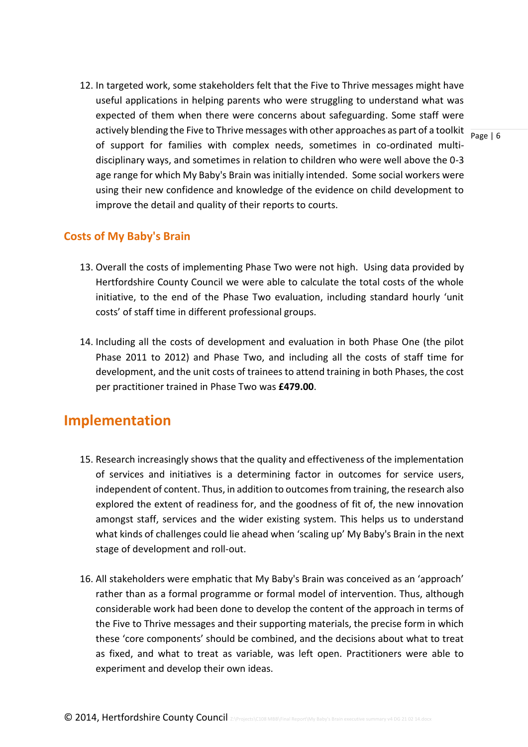actively blending the Five to Thrive messages with other approaches as part of a toolkit  $\frac{}{\text{Page} \mid 6}$ 12. In targeted work, some stakeholders felt that the Five to Thrive messages might have useful applications in helping parents who were struggling to understand what was expected of them when there were concerns about safeguarding. Some staff were of support for families with complex needs, sometimes in co-ordinated multidisciplinary ways, and sometimes in relation to children who were well above the 0-3 age range for which My Baby's Brain was initially intended. Some social workers were using their new confidence and knowledge of the evidence on child development to improve the detail and quality of their reports to courts.

#### **Costs of My Baby's Brain**

- 13. Overall the costs of implementing Phase Two were not high. Using data provided by Hertfordshire County Council we were able to calculate the total costs of the whole initiative, to the end of the Phase Two evaluation, including standard hourly 'unit costs' of staff time in different professional groups.
- 14. Including all the costs of development and evaluation in both Phase One (the pilot Phase 2011 to 2012) and Phase Two, and including all the costs of staff time for development, and the unit costs of trainees to attend training in both Phases, the cost per practitioner trained in Phase Two was **£479.00**.

### **Implementation**

- 15. Research increasingly shows that the quality and effectiveness of the implementation of services and initiatives is a determining factor in outcomes for service users, independent of content. Thus, in addition to outcomes from training, the research also explored the extent of readiness for, and the goodness of fit of, the new innovation amongst staff, services and the wider existing system. This helps us to understand what kinds of challenges could lie ahead when 'scaling up' My Baby's Brain in the next stage of development and roll-out.
- 16. All stakeholders were emphatic that My Baby's Brain was conceived as an 'approach' rather than as a formal programme or formal model of intervention. Thus, although considerable work had been done to develop the content of the approach in terms of the Five to Thrive messages and their supporting materials, the precise form in which these 'core components' should be combined, and the decisions about what to treat as fixed, and what to treat as variable, was left open. Practitioners were able to experiment and develop their own ideas.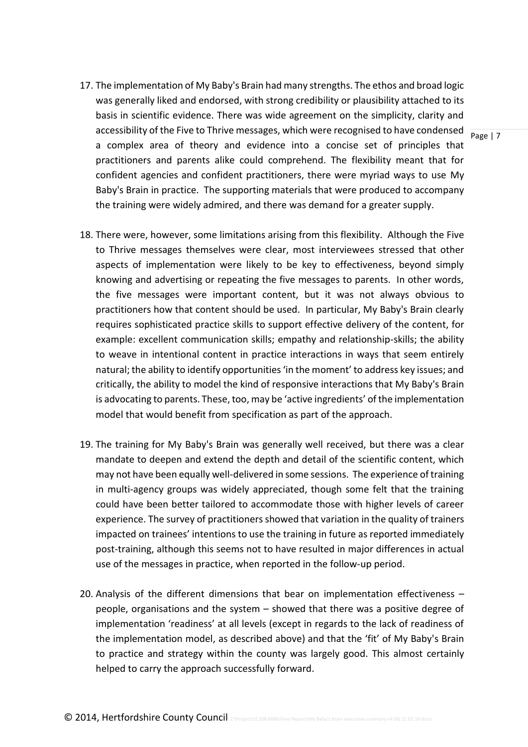- accessibility of the Five to Thrive messages, which were recognised to have condensed  $\frac{1}{\text{Page } | 7}$ 17. The implementation of My Baby's Brain had many strengths. The ethos and broad logic was generally liked and endorsed, with strong credibility or plausibility attached to its basis in scientific evidence. There was wide agreement on the simplicity, clarity and a complex area of theory and evidence into a concise set of principles that practitioners and parents alike could comprehend. The flexibility meant that for confident agencies and confident practitioners, there were myriad ways to use My Baby's Brain in practice. The supporting materials that were produced to accompany the training were widely admired, and there was demand for a greater supply.
- 18. There were, however, some limitations arising from this flexibility. Although the Five to Thrive messages themselves were clear, most interviewees stressed that other aspects of implementation were likely to be key to effectiveness, beyond simply knowing and advertising or repeating the five messages to parents. In other words, the five messages were important content, but it was not always obvious to practitioners how that content should be used. In particular, My Baby's Brain clearly requires sophisticated practice skills to support effective delivery of the content, for example: excellent communication skills; empathy and relationship-skills; the ability to weave in intentional content in practice interactions in ways that seem entirely natural; the ability to identify opportunities 'in the moment' to address key issues; and critically, the ability to model the kind of responsive interactions that My Baby's Brain is advocating to parents. These, too, may be 'active ingredients' of the implementation model that would benefit from specification as part of the approach.
- 19. The training for My Baby's Brain was generally well received, but there was a clear mandate to deepen and extend the depth and detail of the scientific content, which may not have been equally well-delivered in some sessions. The experience of training in multi-agency groups was widely appreciated, though some felt that the training could have been better tailored to accommodate those with higher levels of career experience. The survey of practitioners showed that variation in the quality of trainers impacted on trainees' intentions to use the training in future as reported immediately post-training, although this seems not to have resulted in major differences in actual use of the messages in practice, when reported in the follow-up period.
- 20. Analysis of the different dimensions that bear on implementation effectiveness people, organisations and the system – showed that there was a positive degree of implementation 'readiness' at all levels (except in regards to the lack of readiness of the implementation model, as described above) and that the 'fit' of My Baby's Brain to practice and strategy within the county was largely good. This almost certainly helped to carry the approach successfully forward.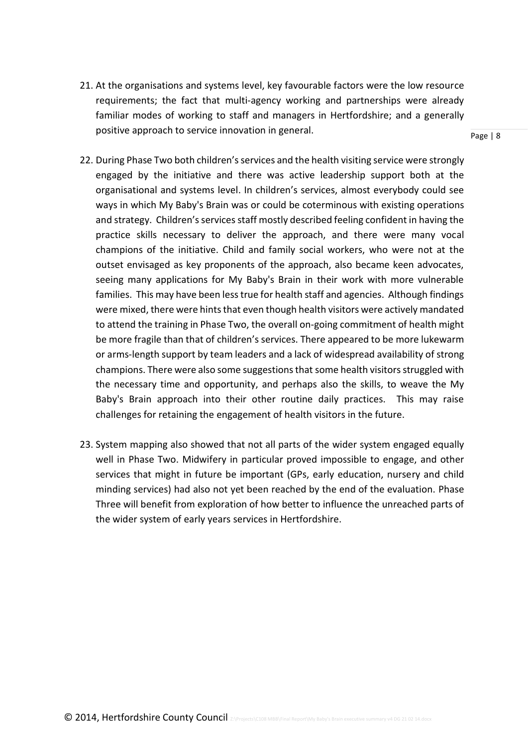21. At the organisations and systems level, key favourable factors were the low resource requirements; the fact that multi-agency working and partnerships were already familiar modes of working to staff and managers in Hertfordshire; and a generally positive approach to service innovation in general.

- 22. During Phase Two both children's services and the health visiting service were strongly engaged by the initiative and there was active leadership support both at the organisational and systems level. In children's services, almost everybody could see ways in which My Baby's Brain was or could be coterminous with existing operations and strategy. Children's services staff mostly described feeling confident in having the practice skills necessary to deliver the approach, and there were many vocal champions of the initiative. Child and family social workers, who were not at the outset envisaged as key proponents of the approach, also became keen advocates, seeing many applications for My Baby's Brain in their work with more vulnerable families. This may have been less true for health staff and agencies. Although findings were mixed, there were hints that even though health visitors were actively mandated to attend the training in Phase Two, the overall on-going commitment of health might be more fragile than that of children's services. There appeared to be more lukewarm or arms-length support by team leaders and a lack of widespread availability of strong champions. There were also some suggestions that some health visitors struggled with the necessary time and opportunity, and perhaps also the skills, to weave the My Baby's Brain approach into their other routine daily practices. This may raise challenges for retaining the engagement of health visitors in the future.
- 23. System mapping also showed that not all parts of the wider system engaged equally well in Phase Two. Midwifery in particular proved impossible to engage, and other services that might in future be important (GPs, early education, nursery and child minding services) had also not yet been reached by the end of the evaluation. Phase Three will benefit from exploration of how better to influence the unreached parts of the wider system of early years services in Hertfordshire.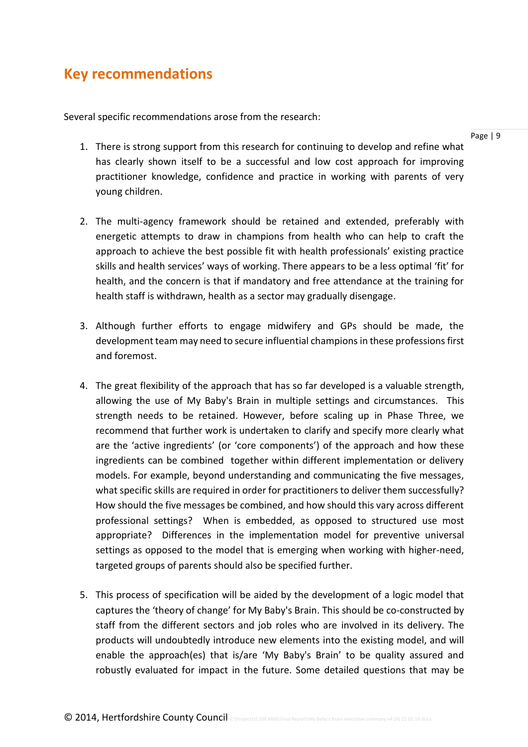## **Key recommendations**

Several specific recommendations arose from the research:

- 1. There is strong support from this research for continuing to develop and refine what has clearly shown itself to be a successful and low cost approach for improving practitioner knowledge, confidence and practice in working with parents of very young children.
- 2. The multi-agency framework should be retained and extended, preferably with energetic attempts to draw in champions from health who can help to craft the approach to achieve the best possible fit with health professionals' existing practice skills and health services' ways of working. There appears to be a less optimal 'fit' for health, and the concern is that if mandatory and free attendance at the training for health staff is withdrawn, health as a sector may gradually disengage.
- 3. Although further efforts to engage midwifery and GPs should be made, the development team may need to secure influential champions in these professions first and foremost.
- 4. The great flexibility of the approach that has so far developed is a valuable strength, allowing the use of My Baby's Brain in multiple settings and circumstances. This strength needs to be retained. However, before scaling up in Phase Three, we recommend that further work is undertaken to clarify and specify more clearly what are the 'active ingredients' (or 'core components') of the approach and how these ingredients can be combined together within different implementation or delivery models. For example, beyond understanding and communicating the five messages, what specific skills are required in order for practitioners to deliver them successfully? How should the five messages be combined, and how should this vary across different professional settings? When is embedded, as opposed to structured use most appropriate? Differences in the implementation model for preventive universal settings as opposed to the model that is emerging when working with higher-need, targeted groups of parents should also be specified further.
- 5. This process of specification will be aided by the development of a logic model that captures the 'theory of change' for My Baby's Brain. This should be co-constructed by staff from the different sectors and job roles who are involved in its delivery. The products will undoubtedly introduce new elements into the existing model, and will enable the approach(es) that is/are 'My Baby's Brain' to be quality assured and robustly evaluated for impact in the future. Some detailed questions that may be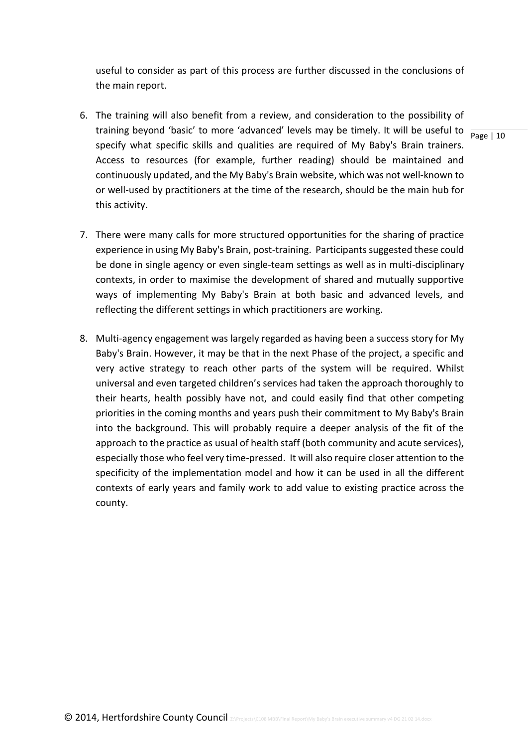useful to consider as part of this process are further discussed in the conclusions of the main report.

- training beyond 'basic' to more 'advanced' levels may be timely. It will be useful to  $\frac{1}{\text{Page } | 10}$ 6. The training will also benefit from a review, and consideration to the possibility of specify what specific skills and qualities are required of My Baby's Brain trainers. Access to resources (for example, further reading) should be maintained and continuously updated, and the My Baby's Brain website, which was not well-known to or well-used by practitioners at the time of the research, should be the main hub for this activity.
- 7. There were many calls for more structured opportunities for the sharing of practice experience in using My Baby's Brain, post-training. Participants suggested these could be done in single agency or even single-team settings as well as in multi-disciplinary contexts, in order to maximise the development of shared and mutually supportive ways of implementing My Baby's Brain at both basic and advanced levels, and reflecting the different settings in which practitioners are working.
- 8. Multi-agency engagement was largely regarded as having been a success story for My Baby's Brain. However, it may be that in the next Phase of the project, a specific and very active strategy to reach other parts of the system will be required. Whilst universal and even targeted children's services had taken the approach thoroughly to their hearts, health possibly have not, and could easily find that other competing priorities in the coming months and years push their commitment to My Baby's Brain into the background. This will probably require a deeper analysis of the fit of the approach to the practice as usual of health staff (both community and acute services), especially those who feel very time-pressed. It will also require closer attention to the specificity of the implementation model and how it can be used in all the different contexts of early years and family work to add value to existing practice across the county.